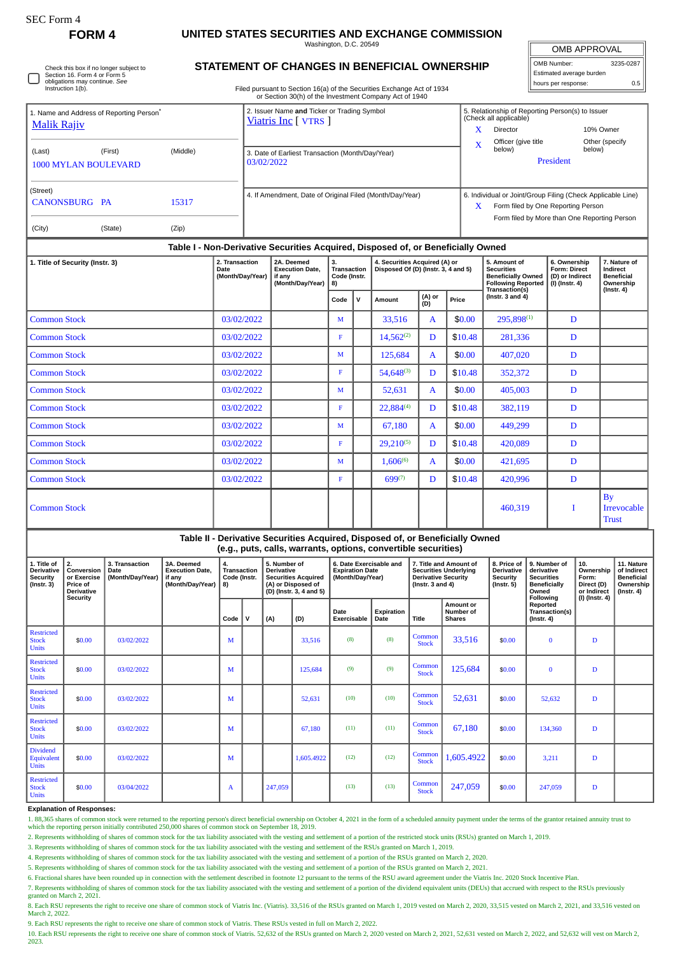## **FORM 4 UNITED STATES SECURITIES AND EXCHANGE COMMISSION**

Washington, D.C. 20549

| <b>OMB APPROVAL</b>      |           |  |  |  |  |  |  |  |  |
|--------------------------|-----------|--|--|--|--|--|--|--|--|
| OMB Number:              | 3235-0287 |  |  |  |  |  |  |  |  |
| Estimated average burden |           |  |  |  |  |  |  |  |  |
| hours per response:      | 0.5       |  |  |  |  |  |  |  |  |

Check this box if no longer subject to Section 16. Form 4 or Form 5 obligations may continue. *See* Instruction 1(b).

**STATEMENT OF CHANGES IN BENEFICIAL OWNERSHIP**

Filed pursuant to Section 16(a) of the Securities Exchange Act of 1934 or Section 30(h) of the Investment Company Act of 1940

|                                                                                  |         |       | or Section 30(11) or the investment Company ACt or 1940             |                                                                                                        |                                              |                          |  |  |  |  |
|----------------------------------------------------------------------------------|---------|-------|---------------------------------------------------------------------|--------------------------------------------------------------------------------------------------------|----------------------------------------------|--------------------------|--|--|--|--|
| 1. Name and Address of Reporting Person <sup>®</sup>                             |         |       | 2. Issuer Name and Ticker or Trading Symbol<br>Viatris Inc [ VTRS ] | 5. Relationship of Reporting Person(s) to Issuer<br>(Check all applicable)                             |                                              |                          |  |  |  |  |
| <b>Malik Rajiv</b>                                                               |         |       |                                                                     | x                                                                                                      | Director                                     | 10% Owner                |  |  |  |  |
| (Middle)<br>(Last)<br>(First)<br><b>1000 MYLAN BOULEVARD</b>                     |         |       | 3. Date of Earliest Transaction (Month/Day/Year)                    |                                                                                                        | Officer (give title<br>below)                | Other (specify<br>below) |  |  |  |  |
|                                                                                  |         |       | 03/02/2022                                                          | President                                                                                              |                                              |                          |  |  |  |  |
| (Street)<br>CANONSBURG PA                                                        | 15317   |       | 4. If Amendment, Date of Original Filed (Month/Day/Year)            | 6. Individual or Joint/Group Filing (Check Applicable Line)<br>X<br>Form filed by One Reporting Person |                                              |                          |  |  |  |  |
| (City)                                                                           | (State) | (Zip) |                                                                     |                                                                                                        | Form filed by More than One Reporting Person |                          |  |  |  |  |
| Table I - Non-Derivative Securities Acquired, Disposed of, or Beneficially Owned |         |       |                                                                     |                                                                                                        |                                              |                          |  |  |  |  |

| 1. Title of Security (Instr. 3) | 3.<br>4. Securities Acquired (A) or<br>2. Transaction<br>2A. Deemed<br>Disposed Of (D) (Instr. 3, 4 and 5)<br><b>Transaction</b><br>Date<br><b>Execution Date,</b><br>(Month/Day/Year)<br>Code (Instr.<br>if any<br>(Month/Day/Year)<br>8) |  |      |             |                | 5. Amount of<br><b>Securities</b><br><b>Beneficially Owned</b><br><b>Following Reported</b><br>Transaction(s) | 6. Ownership<br><b>Form: Direct</b><br>(D) or Indirect<br>$(I)$ (Instr. 4) | 7. Nature of<br>Indirect<br><b>Beneficial</b><br>Ownership |   |                                          |
|---------------------------------|--------------------------------------------------------------------------------------------------------------------------------------------------------------------------------------------------------------------------------------------|--|------|-------------|----------------|---------------------------------------------------------------------------------------------------------------|----------------------------------------------------------------------------|------------------------------------------------------------|---|------------------------------------------|
|                                 |                                                                                                                                                                                                                                            |  | Code | $\mathbf v$ | Amount         | (A) or<br>(D)                                                                                                 | Price                                                                      | (Instr. $3$ and $4$ )                                      |   | $($ Instr. 4 $)$                         |
| <b>Common Stock</b>             | 03/02/2022                                                                                                                                                                                                                                 |  | M    |             | 33,516         | A                                                                                                             | \$0.00                                                                     | $295.898^{(1)}$                                            | D |                                          |
| <b>Common Stock</b>             | 03/02/2022                                                                                                                                                                                                                                 |  | F    |             | $14,562^{(2)}$ | D                                                                                                             | \$10.48                                                                    | 281,336                                                    | D |                                          |
| <b>Common Stock</b>             | 03/02/2022                                                                                                                                                                                                                                 |  | M    |             | 125,684        | $\mathbf{A}$                                                                                                  | \$0.00                                                                     | 407,020                                                    | D |                                          |
| <b>Common Stock</b>             | 03/02/2022                                                                                                                                                                                                                                 |  | F    |             | $54,648^{(3)}$ | D                                                                                                             | \$10.48                                                                    | 352,372                                                    | D |                                          |
| <b>Common Stock</b>             | 03/02/2022                                                                                                                                                                                                                                 |  | M    |             | 52,631         | A                                                                                                             | \$0.00                                                                     | 405,003                                                    | D |                                          |
| <b>Common Stock</b>             | 03/02/2022                                                                                                                                                                                                                                 |  | F    |             | 22,884(4)      | D                                                                                                             | \$10.48                                                                    | 382,119                                                    | D |                                          |
| <b>Common Stock</b>             | 03/02/2022                                                                                                                                                                                                                                 |  | M    |             | 67,180         | $\mathbf{A}$                                                                                                  | \$0.00                                                                     | 449,299                                                    | D |                                          |
| <b>Common Stock</b>             | 03/02/2022                                                                                                                                                                                                                                 |  | F    |             | $29,210^{(5)}$ | D                                                                                                             | \$10.48                                                                    | 420,089                                                    | D |                                          |
| <b>Common Stock</b>             | 03/02/2022                                                                                                                                                                                                                                 |  | M    |             | $1,606^{(6)}$  | A                                                                                                             | \$0.00                                                                     | 421,695                                                    | D |                                          |
| <b>Common Stock</b>             | 03/02/2022                                                                                                                                                                                                                                 |  | F    |             | $699^{(7)}$    | D                                                                                                             | \$10.48                                                                    | 420,996                                                    | D |                                          |
| <b>Common Stock</b>             |                                                                                                                                                                                                                                            |  |      |             |                |                                                                                                               |                                                                            | 460,319                                                    | T | Bv<br><b>Irrevocable</b><br><b>Trust</b> |

| Table II - Derivative Securities Acquired, Disposed of, or Beneficially Owned<br>(e.g., puts, calls, warrants, options, convertible securities) |                                                                                     |                                                   |                                                                    |                                                |   |                                                                                                                  |            |                                                                       |                    |                                                                                                                |                                         |                                                                  |                                                                                              |                                                                            |                                                                                 |
|-------------------------------------------------------------------------------------------------------------------------------------------------|-------------------------------------------------------------------------------------|---------------------------------------------------|--------------------------------------------------------------------|------------------------------------------------|---|------------------------------------------------------------------------------------------------------------------|------------|-----------------------------------------------------------------------|--------------------|----------------------------------------------------------------------------------------------------------------|-----------------------------------------|------------------------------------------------------------------|----------------------------------------------------------------------------------------------|----------------------------------------------------------------------------|---------------------------------------------------------------------------------|
| 1. Title of<br><b>Derivative</b><br><b>Security</b><br>$($ Instr. 3 $)$                                                                         | 2.<br>Conversion<br>or Exercise<br>Price of<br><b>Derivative</b><br><b>Security</b> | 3. Transaction<br><b>Date</b><br>(Month/Day/Year) | 3A. Deemed<br><b>Execution Date.</b><br>if anv<br>(Month/Day/Year) | 4.<br><b>Transaction</b><br>Code (Instr.<br>8) |   | 5. Number of<br><b>Derivative</b><br><b>Securities Acquired</b><br>(A) or Disposed of<br>(D) (Instr. 3, 4 and 5) |            | 6. Date Exercisable and<br><b>Expiration Date</b><br>(Month/Day/Year) |                    | 7. Title and Amount of<br><b>Securities Underlying</b><br><b>Derivative Security</b><br>$($ lnstr. 3 and 4 $)$ |                                         | 8. Price of<br><b>Derivative</b><br>Security<br>$($ Instr. 5 $)$ | 9. Number of<br>derivative<br><b>Securities</b><br><b>Beneficially</b><br>Owned<br>Following | 10.<br>Ownership<br>Form:<br>Direct (D)<br>or Indirect<br>$(I)$ (Instr. 4) | 11. Nature<br>of Indirect<br><b>Beneficial</b><br>Ownership<br>$($ Instr. 4 $)$ |
|                                                                                                                                                 |                                                                                     |                                                   |                                                                    | Code                                           | v | (A)                                                                                                              | (D)        | Date<br>Exercisable                                                   | Expiration<br>Date | Title                                                                                                          | Amount or<br>Number of<br><b>Shares</b> |                                                                  | Reported<br>Transaction(s)<br>$($ Instr. 4 $)$                                               |                                                                            |                                                                                 |
| <b>Restricted</b><br><b>Stock</b><br><b>Units</b>                                                                                               | \$0.00                                                                              | 03/02/2022                                        |                                                                    | М                                              |   |                                                                                                                  | 33.516     | (8)                                                                   | (8)                | Common<br><b>Stock</b>                                                                                         | 33,516                                  | \$0.00                                                           | $\bf{0}$                                                                                     | D                                                                          |                                                                                 |
| <b>Restricted</b><br><b>Stock</b><br><b>Units</b>                                                                                               | \$0.00                                                                              | 03/02/2022                                        |                                                                    | M                                              |   |                                                                                                                  | 125,684    | (9)                                                                   | (9)                | Common<br><b>Stock</b>                                                                                         | 125,684                                 | \$0.00                                                           | $\bf{0}$                                                                                     | D                                                                          |                                                                                 |
| <b>Restricted</b><br><b>Stock</b><br><b>Units</b>                                                                                               | \$0.00                                                                              | 03/02/2022                                        |                                                                    | M                                              |   |                                                                                                                  | 52,631     | (10)                                                                  | (10)               | Common<br><b>Stock</b>                                                                                         | 52,631                                  | \$0.00                                                           | 52,632                                                                                       | D                                                                          |                                                                                 |
| <b>Restricted</b><br><b>Stock</b><br><b>Units</b>                                                                                               | \$0.00                                                                              | 03/02/2022                                        |                                                                    | М                                              |   |                                                                                                                  | 67,180     | (11)                                                                  | (11)               | Common<br><b>Stock</b>                                                                                         | 67,180                                  | \$0.00                                                           | 134,360                                                                                      | D                                                                          |                                                                                 |
| <b>Dividend</b><br>Equivalent<br><b>Units</b>                                                                                                   | \$0.00                                                                              | 03/02/2022                                        |                                                                    | M                                              |   |                                                                                                                  | 1.605.4922 | (12)                                                                  | (12)               | Common<br><b>Stock</b>                                                                                         | 1,605.4922                              | \$0.00                                                           | 3,211                                                                                        | D                                                                          |                                                                                 |
| <b>Restricted</b><br><b>Stock</b><br><b>Units</b>                                                                                               | \$0.00                                                                              | 03/04/2022                                        |                                                                    | A                                              |   | 247,059                                                                                                          |            | (13)                                                                  | (13)               | Common<br><b>Stock</b>                                                                                         | 247,059                                 | \$0.00                                                           | 247,059                                                                                      | D                                                                          |                                                                                 |

## **Explanation of Responses:**

1. 88,365 shares of common stock were returned to the reporting person's direct beneficial ownership on October 4, 2021 in the form of a scheduled annuity payment under the terms of the grantor retained annuity trust to which the reporting person initially contributed 250,000 shares of common stock on September 18, 2019.

2. Represents withholding of shares of common stock for the tax liability associated with the vesting and settlement of a portion of the restricted stock units (RSUs) granted on March 1, 2019.

3. Represents withholding of shares of common stock for the tax liability associated with the vesting and settlement of the RSUs granted on March 1, 2019.

4. Represents withholding of shares of common stock for the tax liability associated with the vesting and settlement of a portion of the RSUs granted on March 2, 2020.

5. Represents withholding of shares of common stock for the tax liability associated with the vesting and settlement of a portion of the RSUs granted on March 2, 2021.

6. Fractional shares have been rounded up in connection with the settlement described in footnote 12 pursuant to the terms of the RSU award agreement under the Viatris Inc. 2020 Stock Incentive Plan.

7. Represents withholding of shares of common stock for the tax liability associated with the vesting and settlement of a portion of the dividend equivalent units (DEUs) that accrued with respect to the RSUs previously

granted on March 2, 2021.

8. Each RSU represents the right to receive one share of common stock of Viatris Inc. (Viatris). 33,516 of the RSUs granted on March 1, 2019 vested on March 2, 2020, 33,515 vested on March 2, 2021, and 33,516 vested on March 2, 2022.

9. Each RSU represents the right to receive one share of common stock of Viatris. These RSUs vested in full on March 2, 2022.

10. Each RSU represents the right to receive one share of common stock of Viatris. 52,632 of the RSUs granted on March 2, 2020 vested on March 2, 2021, 52,631 vested on March 2, 2022, and 52,632 will vest on March 2, 2023.